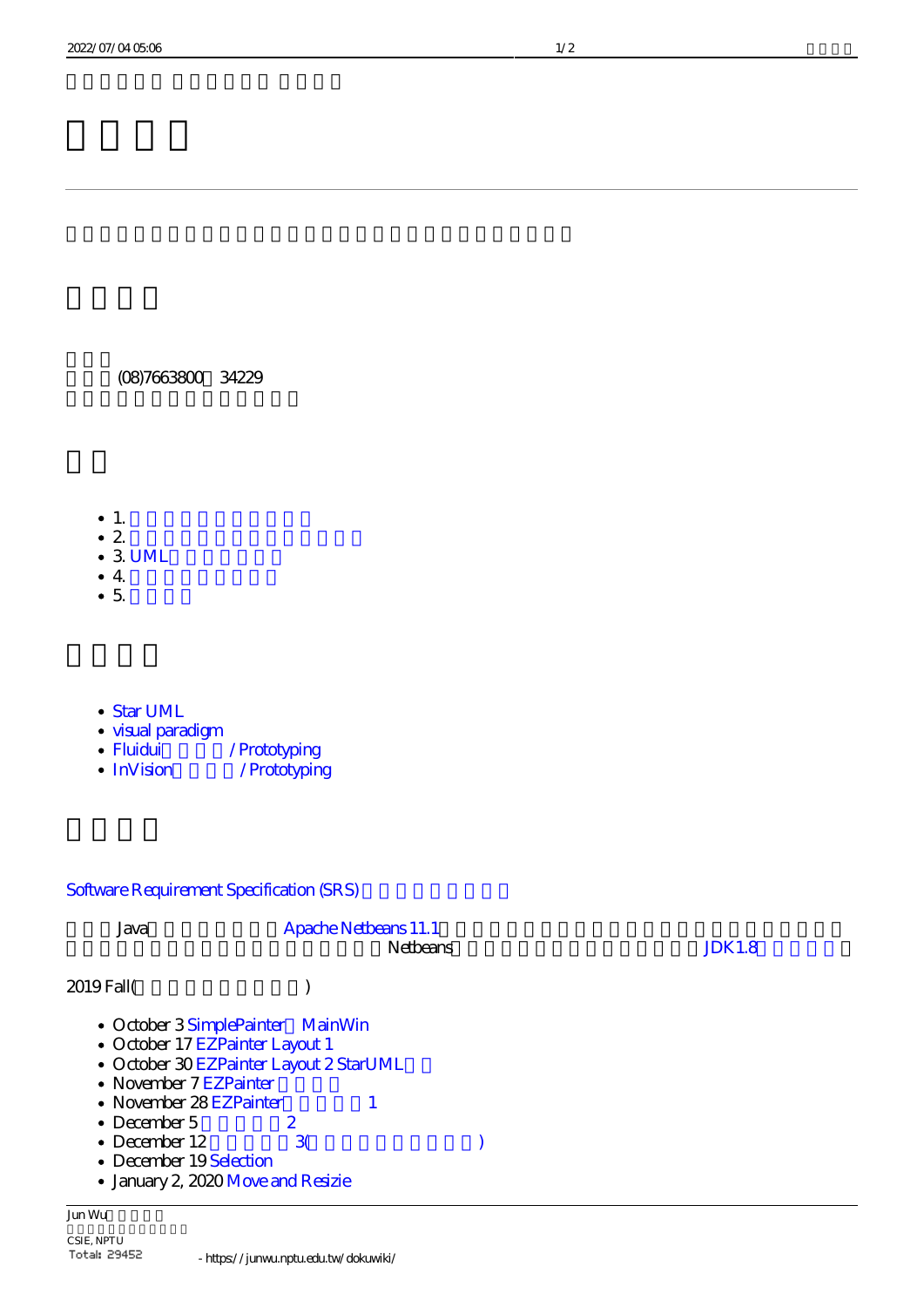(08)7663800 34229

- $1.$
- $2 \,$
- $\cdot$  3 UML
- $4.$
- $\bullet$  5.
- [Star UML](http://staruml.io/)
- [visual paradigm](https://www.visual-paradigm.com/)
- Fluidui / Prototyping
- InVision / Prototyping

# Software Requirement Specification (SRS)

| Java                                                                                   | <b>Apache Netbears 11.1</b><br><b>Netbears</b>                                                                  | <b>JDK1.8</b> |
|----------------------------------------------------------------------------------------|-----------------------------------------------------------------------------------------------------------------|---------------|
| 2019 Fall(                                                                             |                                                                                                                 |               |
| • November 7 EZPainter<br>• November 28 EZPainter<br>• December $5$<br>• December $12$ | • October 3 SimplePainter MainWin<br>• October 17 EZPainter Layout 1<br>· October 30 EZPainter Layout 2 StarUML |               |
| • December 19 Selection                                                                | 3<br>· January 2, 2020 Move and Resizie                                                                         |               |